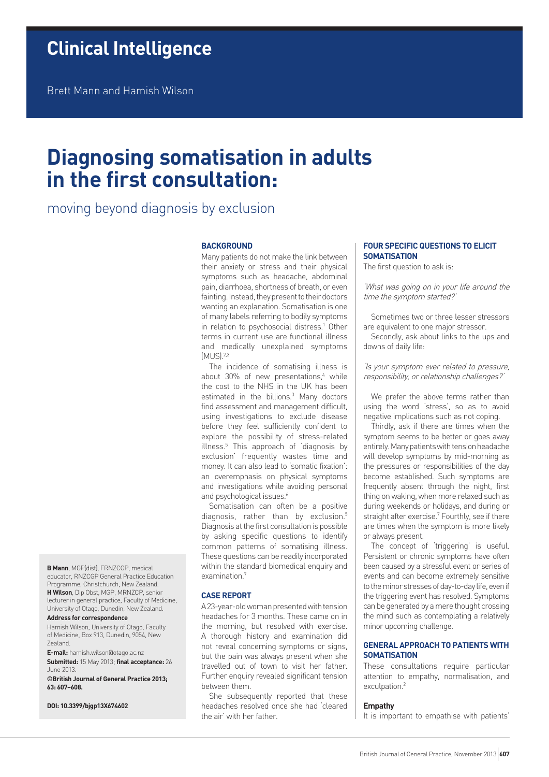## **Clinical Intelligence**

Brett Mann and Hamish Wilson

# **Diagnosing somatisation in adults in the first consultation:**

## moving beyond diagnosis by exclusion

## **BACKGROUND**

Many patients do not make the link between their anxiety or stress and their physical symptoms such as headache, abdominal pain, diarrhoea, shortness of breath, or even fainting. Instead, they present to their doctors wanting an explanation. Somatisation is one of many labels referring to bodily symptoms in relation to psychosocial distress.<sup>1</sup> Other terms in current use are functional illness and medically unexplained symptoms (MUS).2,3

The incidence of somatising illness is about 30% of new presentations,<sup>4</sup> while the cost to the NHS in the UK has been estimated in the billions.<sup>3</sup> Many doctors find assessment and management difficult, using investigations to exclude disease before they feel sufficiently confident to explore the possibility of stress-related illness.5 This approach of 'diagnosis by exclusion' frequently wastes time and money. It can also lead to 'somatic fixation': an overemphasis on physical symptoms and investigations while avoiding personal and psychological issues.<sup>6</sup>

Somatisation can often be a positive diagnosis, rather than by exclusion.<sup>5</sup> Diagnosis at the first consultation is possible by asking specific questions to identify common patterns of somatising illness. These questions can be readily incorporated within the standard biomedical enquiry and examination<sup>3</sup>

## **Case report**

A 23-year-old woman presented with tension headaches for 3 months. These came on in the morning, but resolved with exercise. A thorough history and examination did not reveal concerning symptoms or signs, but the pain was always present when she travelled out of town to visit her father. Further enquiry revealed significant tension between them.

She subsequently reported that these headaches resolved once she had 'cleared the air' with her father.

## **Four specific questions to elicit somatisation**

The first question to ask is:

'What was going on in your life around the time the symptom started?'

Sometimes two or three lesser stressors are equivalent to one major stressor.

Secondly, ask about links to the ups and downs of daily life:

## 'Is your symptom ever related to pressure, responsibility, or relationship challenges?'

We prefer the above terms rather than using the word 'stress', so as to avoid negative implications such as not coping.

Thirdly, ask if there are times when the symptom seems to be better or goes away entirely. Many patients with tension headache will develop symptoms by mid-morning as the pressures or responsibilities of the day become established. Such symptoms are frequently absent through the night, first thing on waking, when more relaxed such as during weekends or holidays, and during or straight after exercise.<sup>7</sup> Fourthly, see if there are times when the symptom is more likely or always present.

The concept of 'triggering' is useful. Persistent or chronic symptoms have often been caused by a stressful event or series of events and can become extremely sensitive to the minor stresses of day-to-day life, even if the triggering event has resolved. Symptoms can be generated by a mere thought crossing the mind such as contemplating a relatively minor upcoming challenge.

## **general approach to patients with somatisation**

These consultations require particular attention to empathy, normalisation, and exculpation.2

## **Empathy**

It is important to empathise with patients'

**B Mann**, MGP(dist), FRNZCGP, medical educator, RNZCGP General Practice Education Programme, Christchurch, New Zealand. **H Wilson**, Dip Obst, MGP, MRNZCP, senior lecturer in general practice, Faculty of Medicine, University of Otago, Dunedin, New Zealand. **Address for correspondence**

Hamish Wilson, University of Otago, Faculty of Medicine, Box 913, Dunedin, 9054, New Zealand.

#### **E-mail:** hamish.wilson@otago.ac.nz

**Submitted:** 15 May 2013; **final acceptance:** 26 June 2013.

**©British Journal of General Practice 2013; 63: 607–608.**

**DOI: 10.3399/bjgp13X674602**